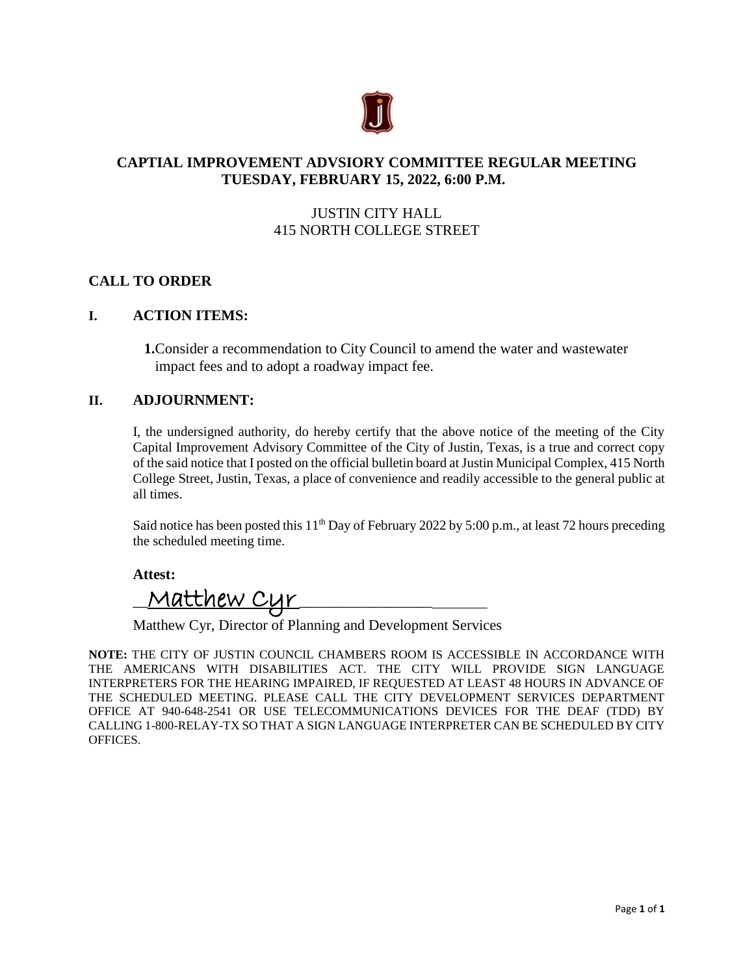

# **CAPTIAL IMPROVEMENT ADVSIORY COMMITTEE REGULAR MEETING TUESDAY, FEBRUARY 15, 2022, 6:00 P.M.**

# JUSTIN CITY HALL 415 NORTH COLLEGE STREET

## **CALL TO ORDER**

#### **I. ACTION ITEMS:**

**1.**Consider a recommendation to City Council to amend the water and wastewater impact fees and to adopt a roadway impact fee.

### **II. ADJOURNMENT:**

I, the undersigned authority, do hereby certify that the above notice of the meeting of the City Capital Improvement Advisory Committee of the City of Justin, Texas, is a true and correct copy of the said notice that I posted on the official bulletin board at Justin Municipal Complex, 415 North College Street, Justin, Texas, a place of convenience and readily accessible to the general public at all times.

Said notice has been posted this  $11<sup>th</sup>$  Day of February 2022 by 5:00 p.m., at least 72 hours preceding the scheduled meeting time.

**Attest:**

 $\frac{1}{\sqrt{2\pi}}$   $\frac{1}{\sqrt{2\pi}}$   $\frac{1}{\sqrt{2\pi}}$ 

Matthew Cyr, Director of Planning and Development Services

**NOTE:** THE CITY OF JUSTIN COUNCIL CHAMBERS ROOM IS ACCESSIBLE IN ACCORDANCE WITH THE AMERICANS WITH DISABILITIES ACT. THE CITY WILL PROVIDE SIGN LANGUAGE INTERPRETERS FOR THE HEARING IMPAIRED, IF REQUESTED AT LEAST 48 HOURS IN ADVANCE OF THE SCHEDULED MEETING. PLEASE CALL THE CITY DEVELOPMENT SERVICES DEPARTMENT OFFICE AT 940-648-2541 OR USE TELECOMMUNICATIONS DEVICES FOR THE DEAF (TDD) BY CALLING 1-800-RELAY-TX SO THAT A SIGN LANGUAGE INTERPRETER CAN BE SCHEDULED BY CITY OFFICES.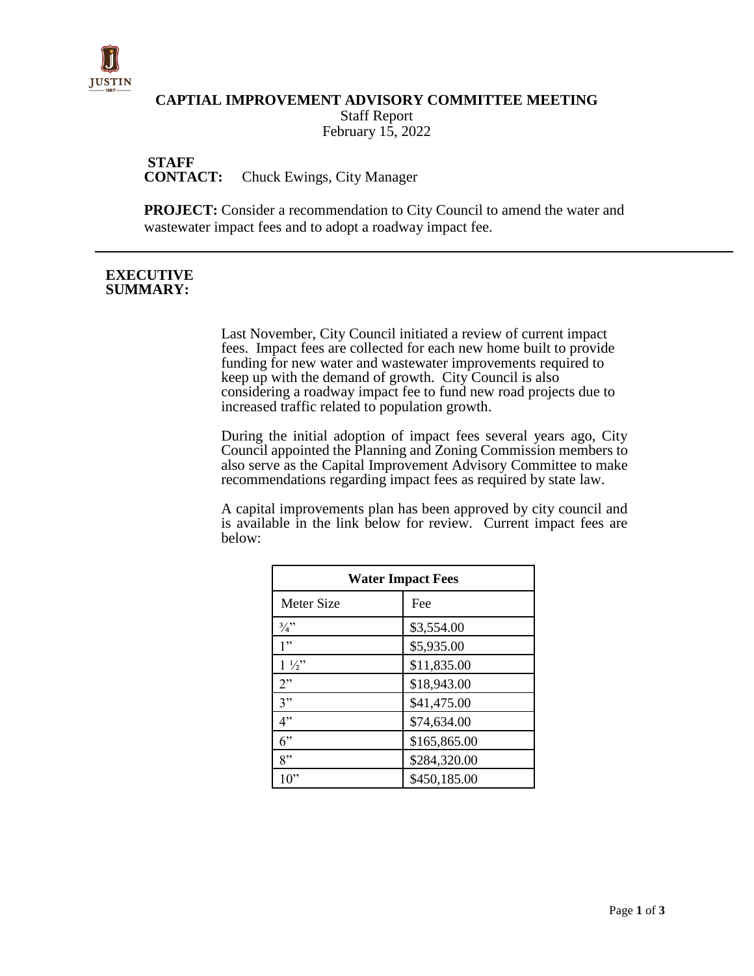

#### **CAPTIAL IMPROVEMENT ADVISORY COMMITTEE MEETING**

Staff Report February 15, 2022

**STAFF<br>CONTACT: Chuck Ewings, City Manager** 

**PROJECT:** Consider a recommendation to City Council to amend the water and wastewater impact fees and to adopt a roadway impact fee.

#### **EXECUTIVE SUMMARY:**

Last November, City Council initiated a review of current impact fees. Impact fees are collected for each new home built to provide funding for new water and wastewater improvements required to keep up with the demand of growth. City Council is also considering a roadway impact fee to fund new road projects due to increased traffic related to population growth.

During the initial adoption of impact fees several years ago, City Council appointed the Planning and Zoning Commission members to also serve as the Capital Improvement Advisory Committee to make recommendations regarding impact fees as required by state law.

A capital improvements plan has been approved by city council and is available in the link below for review. Current impact fees are below:

| <b>Water Impact Fees</b> |              |  |
|--------------------------|--------------|--|
| Meter Size               | Fee          |  |
| $\frac{3}{4}$            | \$3,554.00   |  |
| 1"                       | \$5,935.00   |  |
| $1\frac{1}{2}$           | \$11,835.00  |  |
| 2"                       | \$18,943.00  |  |
| 3"                       | \$41,475.00  |  |
| 4"                       | \$74,634.00  |  |
| 6"                       | \$165,865.00 |  |
| 8"                       | \$284,320.00 |  |
| 0                        | \$450,185.00 |  |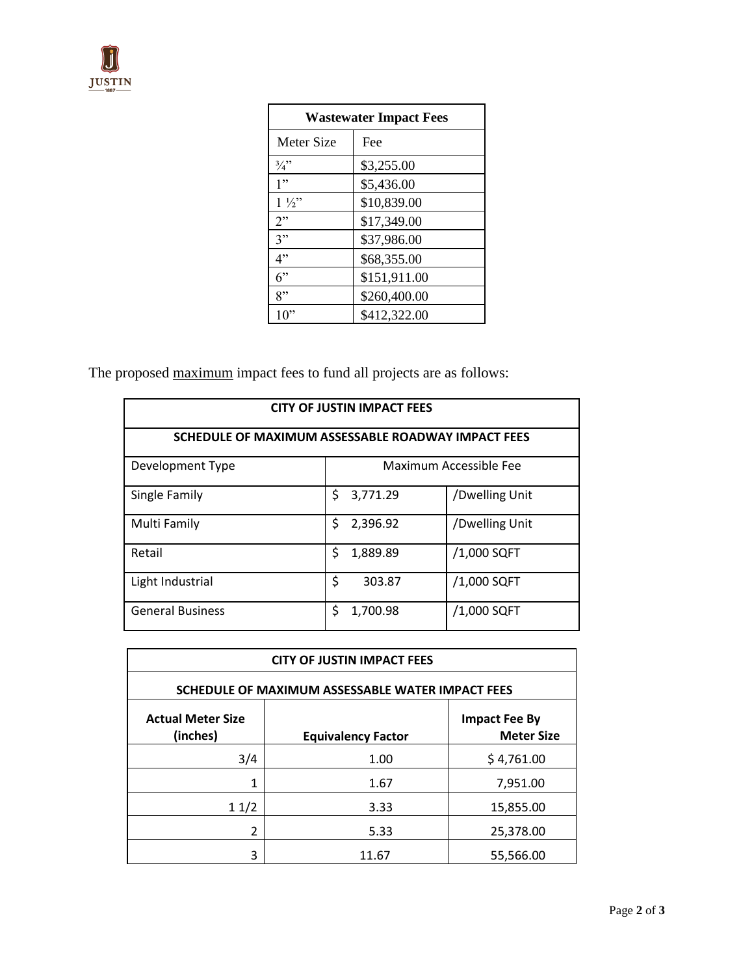| <b>Wastewater Impact Fees</b> |              |  |
|-------------------------------|--------------|--|
| <b>Meter Size</b>             | Fee          |  |
| $\frac{3}{4}$ "               | \$3,255.00   |  |
| 1"                            | \$5,436.00   |  |
| $1\frac{1}{2}$                | \$10,839.00  |  |
| 2"                            | \$17,349.00  |  |
| 3"                            | \$37,986.00  |  |
| 4"                            | \$68,355.00  |  |
| 6"                            | \$151,911.00 |  |
| 8"                            | \$260,400.00 |  |
|                               | \$412,322.00 |  |

The proposed maximum impact fees to fund all projects are as follows:

| <b>CITY OF JUSTIN IMPACT FEES</b>                  |                        |          |                |  |
|----------------------------------------------------|------------------------|----------|----------------|--|
| SCHEDULE OF MAXIMUM ASSESSABLE ROADWAY IMPACT FEES |                        |          |                |  |
| Development Type                                   | Maximum Accessible Fee |          |                |  |
| Single Family                                      | \$                     | 3,771.29 | /Dwelling Unit |  |
| Multi Family                                       | Ś                      | 2,396.92 | /Dwelling Unit |  |
| Retail                                             | \$                     | 1,889.89 | /1,000 SQFT    |  |
| Light Industrial                                   | \$                     | 303.87   | /1,000 SQFT    |  |
| <b>General Business</b>                            | Ś                      | 1,700.98 | /1,000 SQFT    |  |

| <b>CITY OF JUSTIN IMPACT FEES</b>                |                           |                                           |  |
|--------------------------------------------------|---------------------------|-------------------------------------------|--|
| SCHEDULE OF MAXIMUM ASSESSABLE WATER IMPACT FEES |                           |                                           |  |
| <b>Actual Meter Size</b><br>(inches)             | <b>Equivalency Factor</b> | <b>Impact Fee By</b><br><b>Meter Size</b> |  |
| 3/4                                              | 1.00                      | \$4,761.00                                |  |
| 1                                                | 1.67                      | 7,951.00                                  |  |
| 11/2                                             | 3.33                      | 15,855.00                                 |  |
| $\mathfrak{p}$                                   | 5.33                      | 25,378.00                                 |  |
| 3                                                | 11.67                     | 55,566.00                                 |  |